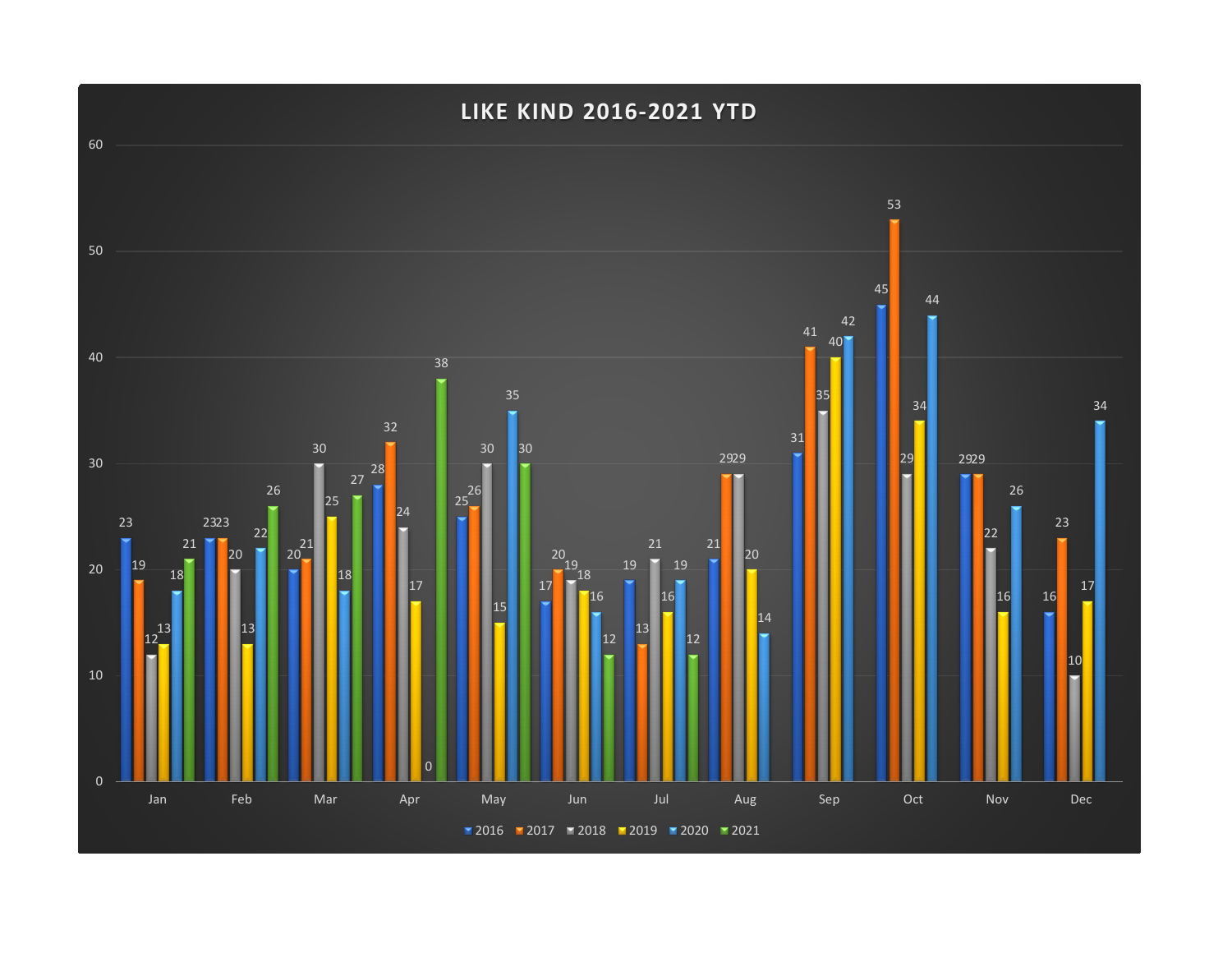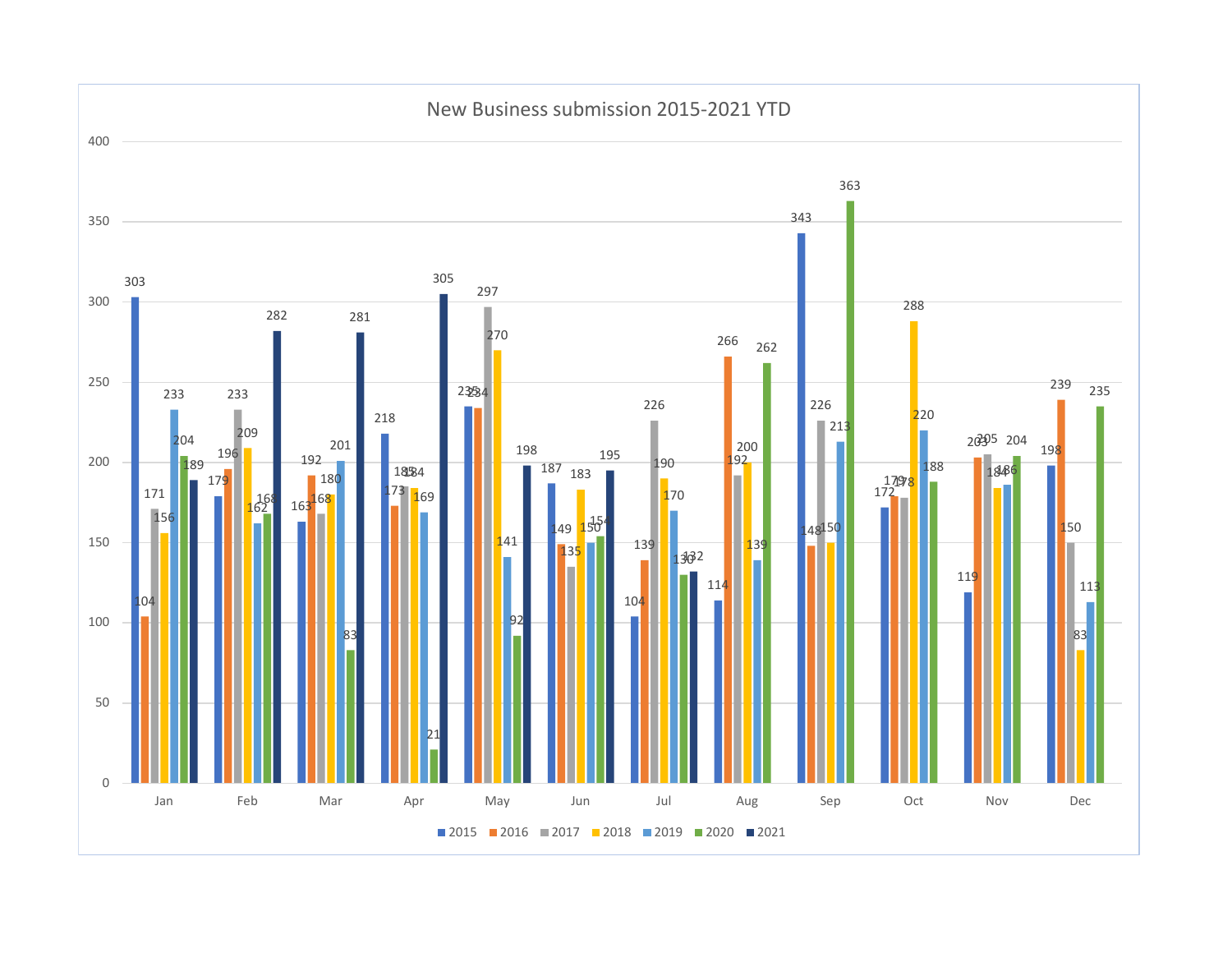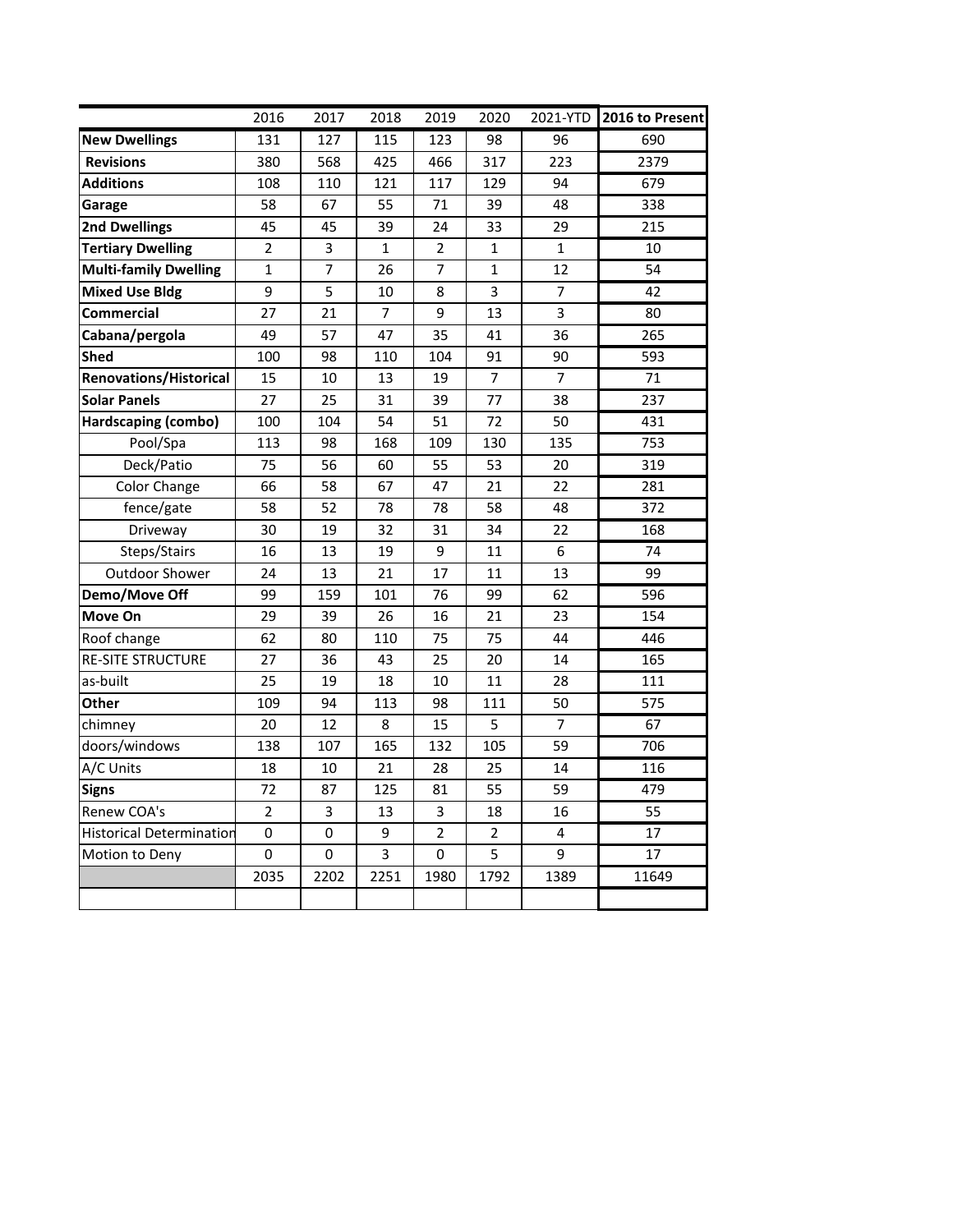|                                 | 2016           | 2017 | 2018           | 2019           | 2020           | 2021-YTD       | 2016 to Present |
|---------------------------------|----------------|------|----------------|----------------|----------------|----------------|-----------------|
| <b>New Dwellings</b>            | 131            | 127  | 115            | 123            | 98             | 96             | 690             |
| <b>Revisions</b>                | 380            | 568  | 425            | 466            | 317            | 223            | 2379            |
| <b>Additions</b>                | 108            | 110  | 121            | 117            | 129            | 94             | 679             |
| Garage                          | 58             | 67   | 55             | 71             | 39             | 48             | 338             |
| <b>2nd Dwellings</b>            | 45             | 45   | 39             | 24             | 33             | 29             | 215             |
| <b>Tertiary Dwelling</b>        | $\overline{2}$ | 3    | 1              | $\overline{2}$ | $\mathbf{1}$   | $\mathbf{1}$   | 10              |
| <b>Multi-family Dwelling</b>    | $\mathbf 1$    | 7    | 26             | 7              | $\mathbf{1}$   | 12             | 54              |
| <b>Mixed Use Bldg</b>           | 9              | 5    | 10             | 8              | 3              | 7              | 42              |
| <b>Commercial</b>               | 27             | 21   | $\overline{7}$ | 9              | 13             | 3              | 80              |
| Cabana/pergola                  | 49             | 57   | 47             | 35             | 41             | 36             | 265             |
| Shed                            | 100            | 98   | 110            | 104            | 91             | 90             | 593             |
| <b>Renovations/Historical</b>   | 15             | 10   | 13             | 19             | 7              | 7              | 71              |
| <b>Solar Panels</b>             | 27             | 25   | 31             | 39             | 77             | 38             | 237             |
| Hardscaping (combo)             | 100            | 104  | 54             | 51             | 72             | 50             | 431             |
| Pool/Spa                        | 113            | 98   | 168            | 109            | 130            | 135            | 753             |
| Deck/Patio                      | 75             | 56   | 60             | 55             | 53             | 20             | 319             |
| Color Change                    | 66             | 58   | 67             | 47             | 21             | 22             | 281             |
| fence/gate                      | 58             | 52   | 78             | 78             | 58             | 48             | 372             |
| Driveway                        | 30             | 19   | 32             | 31             | 34             | 22             | 168             |
| Steps/Stairs                    | 16             | 13   | 19             | 9              | 11             | 6              | 74              |
| <b>Outdoor Shower</b>           | 24             | 13   | 21             | 17             | 11             | 13             | 99              |
| Demo/Move Off                   | 99             | 159  | 101            | 76             | 99             | 62             | 596             |
| Move On                         | 29             | 39   | 26             | 16             | 21             | 23             | 154             |
| Roof change                     | 62             | 80   | 110            | 75             | 75             | 44             | 446             |
| <b>RE-SITE STRUCTURE</b>        | 27             | 36   | 43             | 25             | 20             | 14             | 165             |
| as-built                        | 25             | 19   | 18             | 10             | 11             | 28             | 111             |
| Other                           | 109            | 94   | 113            | 98             | 111            | 50             | 575             |
| chimney                         | 20             | 12   | 8              | 15             | 5              | $\overline{7}$ | 67              |
| doors/windows                   | 138            | 107  | 165            | 132            | 105            | 59             | 706             |
| A/C Units                       | 18             | 10   | 21             | 28             | 25             | 14             | 116             |
| <b>Signs</b>                    | 72             | 87   | 125            | 81             | 55             | 59             | 479             |
| Renew COA's                     | $\overline{2}$ | 3    | 13             | $\overline{3}$ | 18             | 16             | 55              |
| <b>Historical Determination</b> | 0              | 0    | 9              | $\overline{2}$ | $\overline{2}$ | 4              | 17              |
| Motion to Deny                  | 0              | 0    | 3              | 0              | 5              | 9              | 17              |
|                                 | 2035           | 2202 | 2251           | 1980           | 1792           | 1389           | 11649           |
|                                 |                |      |                |                |                |                |                 |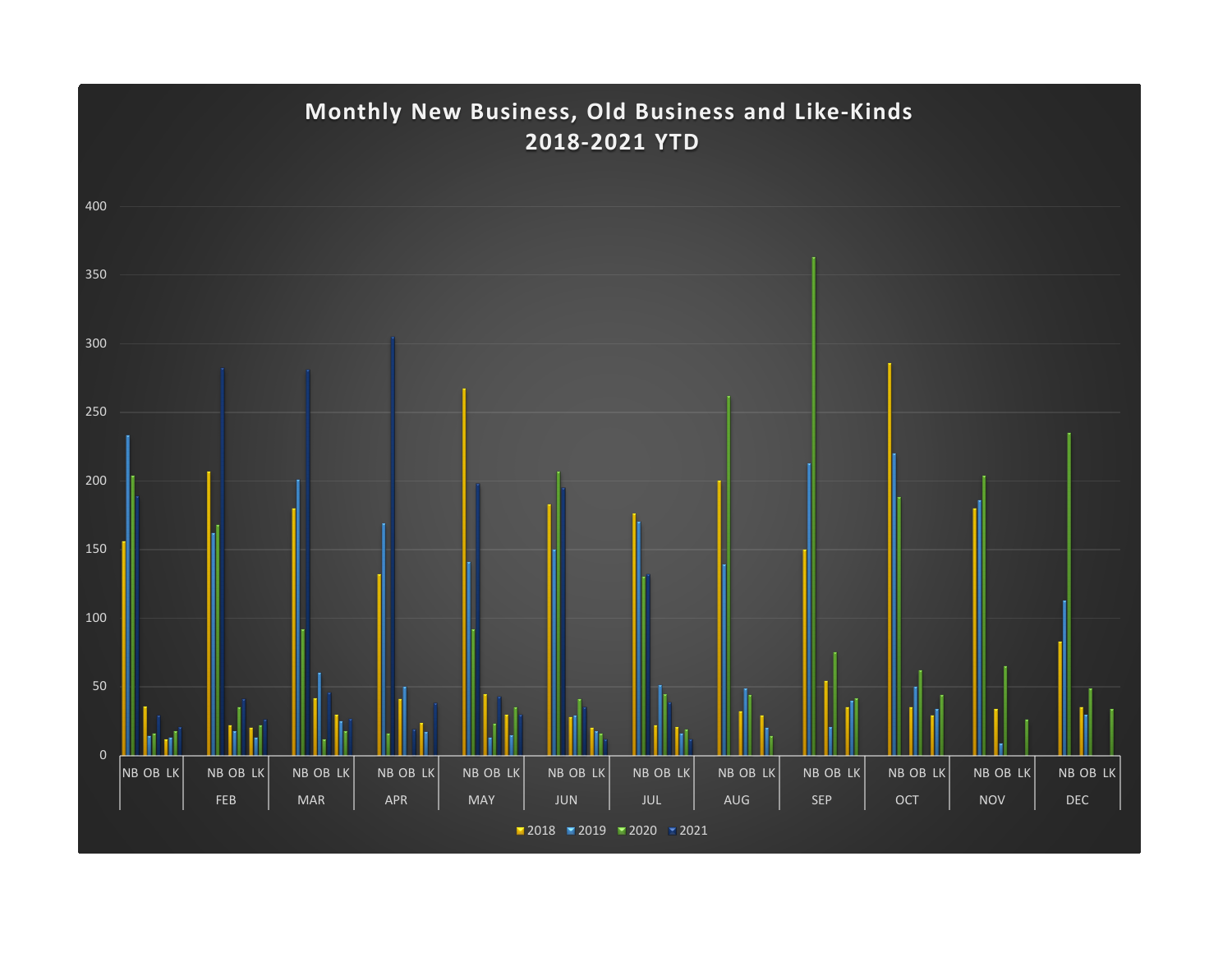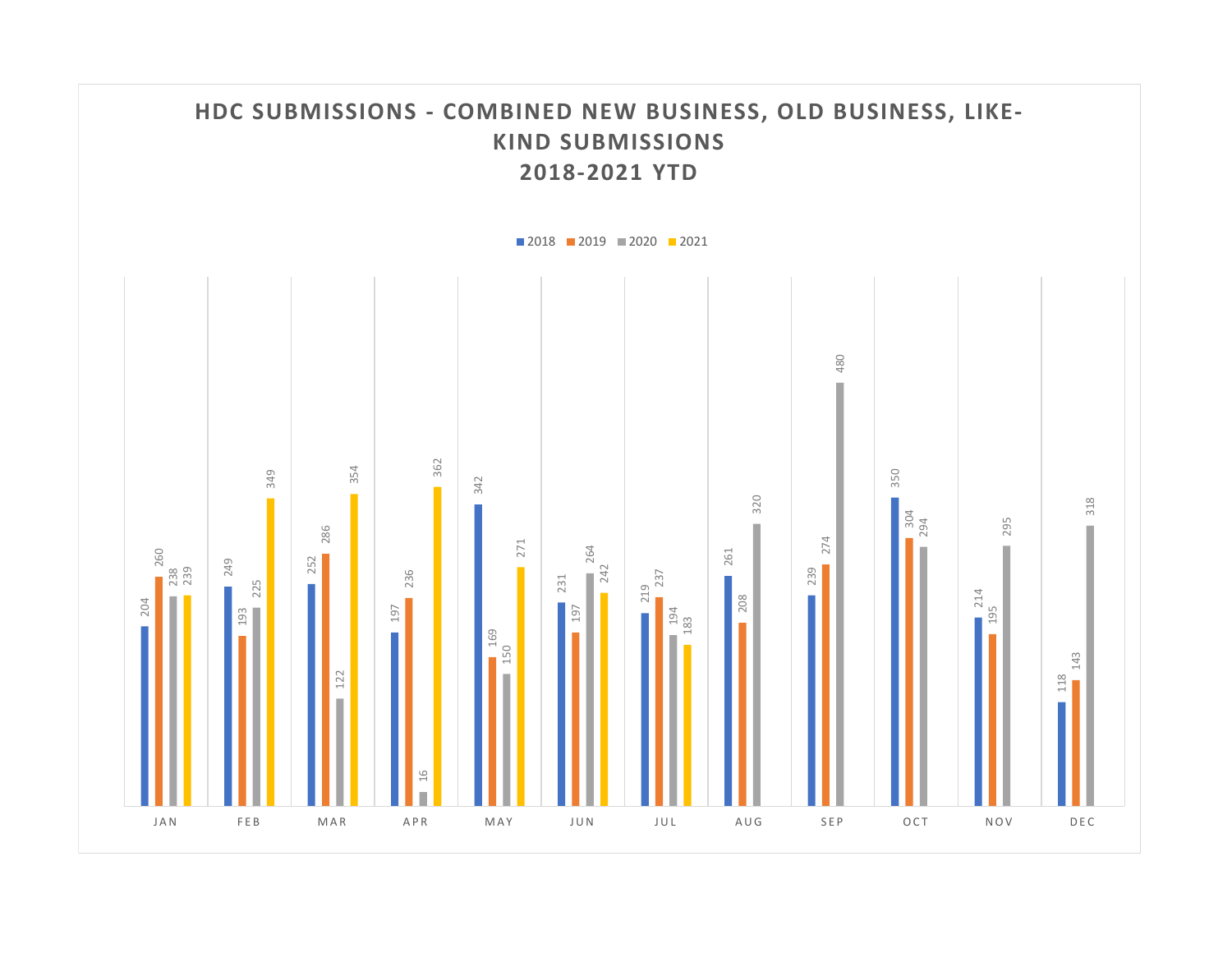